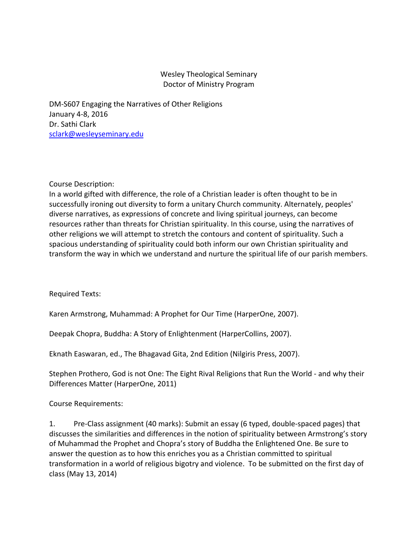## Wesley Theological Seminary Doctor of Ministry Program

DM‐S607 Engaging the Narratives of Other Religions January 4‐8, 2016 Dr. Sathi Clark sclark@wesleyseminary.edu

Course Description:

In a world gifted with difference, the role of a Christian leader is often thought to be in successfully ironing out diversity to form a unitary Church community. Alternately, peoples' diverse narratives, as expressions of concrete and living spiritual journeys, can become resources rather than threats for Christian spirituality. In this course, using the narratives of other religions we will attempt to stretch the contours and content of spirituality. Such a spacious understanding of spirituality could both inform our own Christian spirituality and transform the way in which we understand and nurture the spiritual life of our parish members.

Required Texts:

Karen Armstrong, Muhammad: A Prophet for Our Time (HarperOne, 2007).

Deepak Chopra, Buddha: A Story of Enlightenment (HarperCollins, 2007).

Eknath Easwaran, ed., The Bhagavad Gita, 2nd Edition (Nilgiris Press, 2007).

Stephen Prothero, God is not One: The Eight Rival Religions that Run the World ‐ and why their Differences Matter (HarperOne, 2011)

Course Requirements:

1. Pre‐Class assignment (40 marks): Submit an essay (6 typed, double‐spaced pages) that discusses the similarities and differences in the notion of spirituality between Armstrong's story of Muhammad the Prophet and Chopra's story of Buddha the Enlightened One. Be sure to answer the question as to how this enriches you as a Christian committed to spiritual transformation in a world of religious bigotry and violence. To be submitted on the first day of class (May 13, 2014)